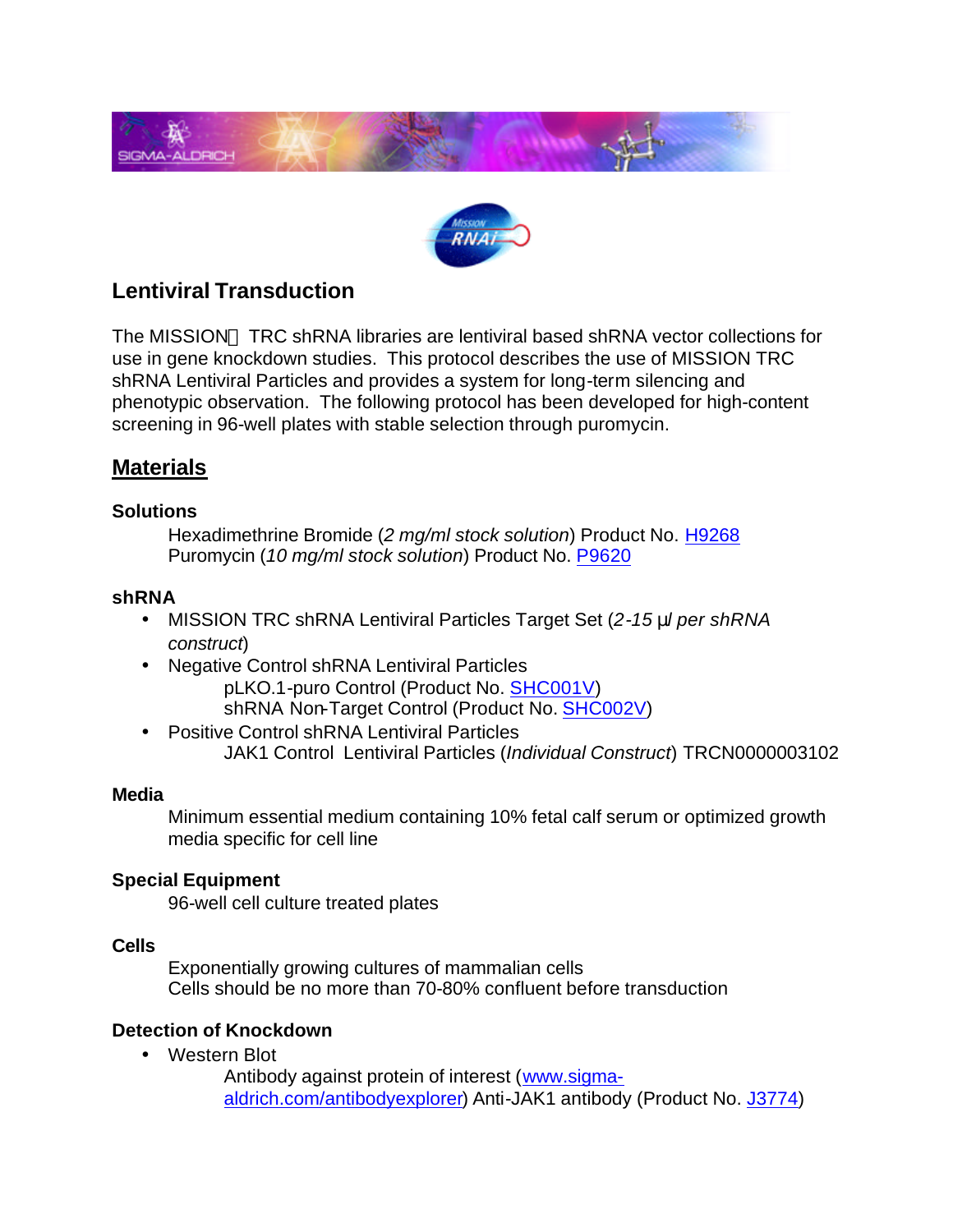



## **Lentiviral Transduction**

The MISSION™ TRC shRNA libraries are lentiviral based shRNA vector collections for use in gene knockdown studies. This protocol describes the use of MISSION TRC shRNA Lentiviral Particles and provides a system for long-term silencing and phenotypic observation. The following protocol has been developed for high-content screening in 96-well plates with stable selection through puromycin.

## **Materials**

#### **Solutions**

Hexadimethrine Bromide (*2 mg/ml stock solution*) Product No. [H9268](http://www.sigmaaldrich.com/ProductLookup.html?ProdNo=H9268&Brand=SIGMA) Puromycin (*10 mg/ml stock solution*) Product No[. P9620](http://www.sigmaaldrich.com/ProductLookup.html?ProdNo=P9620&Brand=SIGMA)

#### **shRNA**

- MISSION TRC shRNA Lentiviral Particles Target Set (*2-15 ml per shRNA construct*)
- Negative Control shRNA Lentiviral Particles pLKO.1-puro Control (Product No. [SHC001V\)](http://www.sigmaaldrich.com/ProductLookup.html?ProdNo=SHC001V&Brand=SIGMA) shRNA Non-Target Control (Product No. [SHC002V\)](http://www.sigmaaldrich.com/ProductLookup.html?ProdNo=SHC002V&Brand=SIGMA)
- Positive Control shRNA Lentiviral Particles JAK1 Control Lentiviral Particles (*Individual Construct*) TRCN0000003102

#### **Media**

Minimum essential medium containing 10% fetal calf serum or optimized growth media specific for cell line

#### **Special Equipment**

96-well cell culture treated plates

#### **Cells**

Exponentially growing cultures of mammalian cells Cells should be no more than 70-80% confluent before transduction

#### **Detection of Knockdown**

• Western Blot

Antibody against protein of interest [\(www.sigma](http://www.sigmaaldrich.com/Area_of_Interest/Life_Science/Antibody_Explorer.html)[aldrich.com/antibodyexplorer\)](http://www.sigmaaldrich.com/Area_of_Interest/Life_Science/Antibody_Explorer.html) Anti-JAK1 antibody (Product No. [J3774\)](http://www.sigmaaldrich.com/ProductLookup.html?ProdNo=J3774&Brand=SIGMA)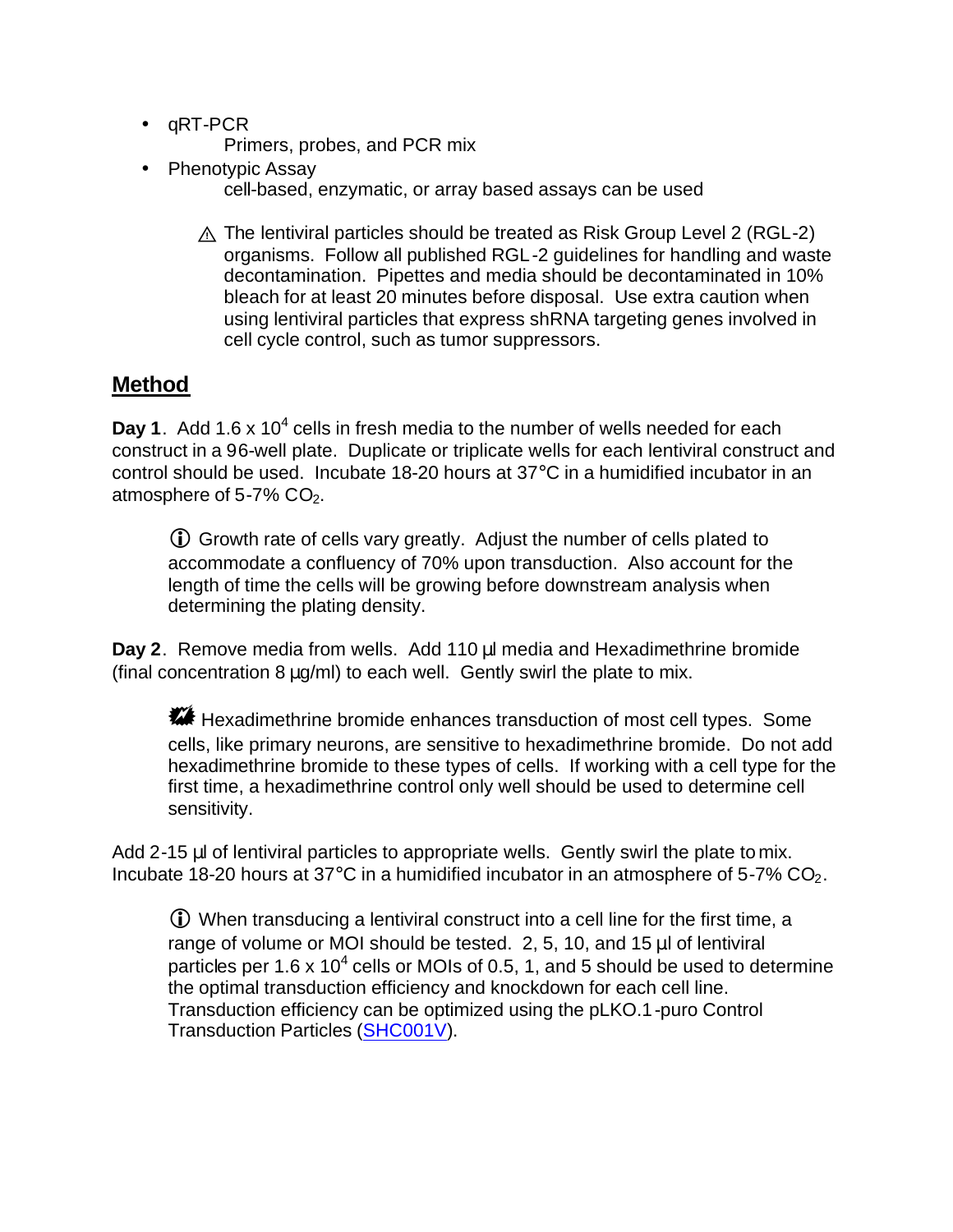- qRT-PCR Primers, probes, and PCR mix
- Phenotypic Assay cell-based, enzymatic, or array based assays can be used
	- $\wedge$  The lentiviral particles should be treated as Risk Group Level 2 (RGL-2) organisms. Follow all published RGL-2 guidelines for handling and waste decontamination. Pipettes and media should be decontaminated in 10% bleach for at least 20 minutes before disposal. Use extra caution when using lentiviral particles that express shRNA targeting genes involved in cell cycle control, such as tumor suppressors.

# **Method**

Day 1. Add 1.6 x 10<sup>4</sup> cells in fresh media to the number of wells needed for each construct in a 96-well plate. Duplicate or triplicate wells for each lentiviral construct and control should be used. Incubate 18-20 hours at 37°C in a humidified incubator in an atmosphere of  $5-7\%$  CO<sub>2</sub>.

**i** Growth rate of cells vary greatly. Adjust the number of cells plated to accommodate a confluency of 70% upon transduction. Also account for the length of time the cells will be growing before downstream analysis when determining the plating density.

**Day 2**. Remove media from wells. Add 110 μl media and Hexadimethrine bromide (final concentration 8 μg/ml) to each well. Gently swirl the plate to mix.

**\*\*\*** Hexadimethrine bromide enhances transduction of most cell types. Some cells, like primary neurons, are sensitive to hexadimethrine bromide. Do not add hexadimethrine bromide to these types of cells. If working with a cell type for the first time, a hexadimethrine control only well should be used to determine cell sensitivity.

Add 2-15 μl of lentiviral particles to appropriate wells. Gently swirl the plate to mix. Incubate 18-20 hours at  $37^{\circ}$ C in a humidified incubator in an atmosphere of 5-7% CO<sub>2</sub>.

 $\odot$  When transducing a lentiviral construct into a cell line for the first time, a range of volume or MOI should be tested. 2, 5, 10, and 15 μl of lentiviral particles per 1.6 x 10<sup>4</sup> cells or MOIs of 0.5, 1, and 5 should be used to determine the optimal transduction efficiency and knockdown for each cell line. Transduction efficiency can be optimized using the pLKO.1-puro Control Transduction Particles [\(SHC001V\)](http://www.sigmaaldrich.com/ProductLookup.html?ProdNo=SHC001V&Brand=SIGMA).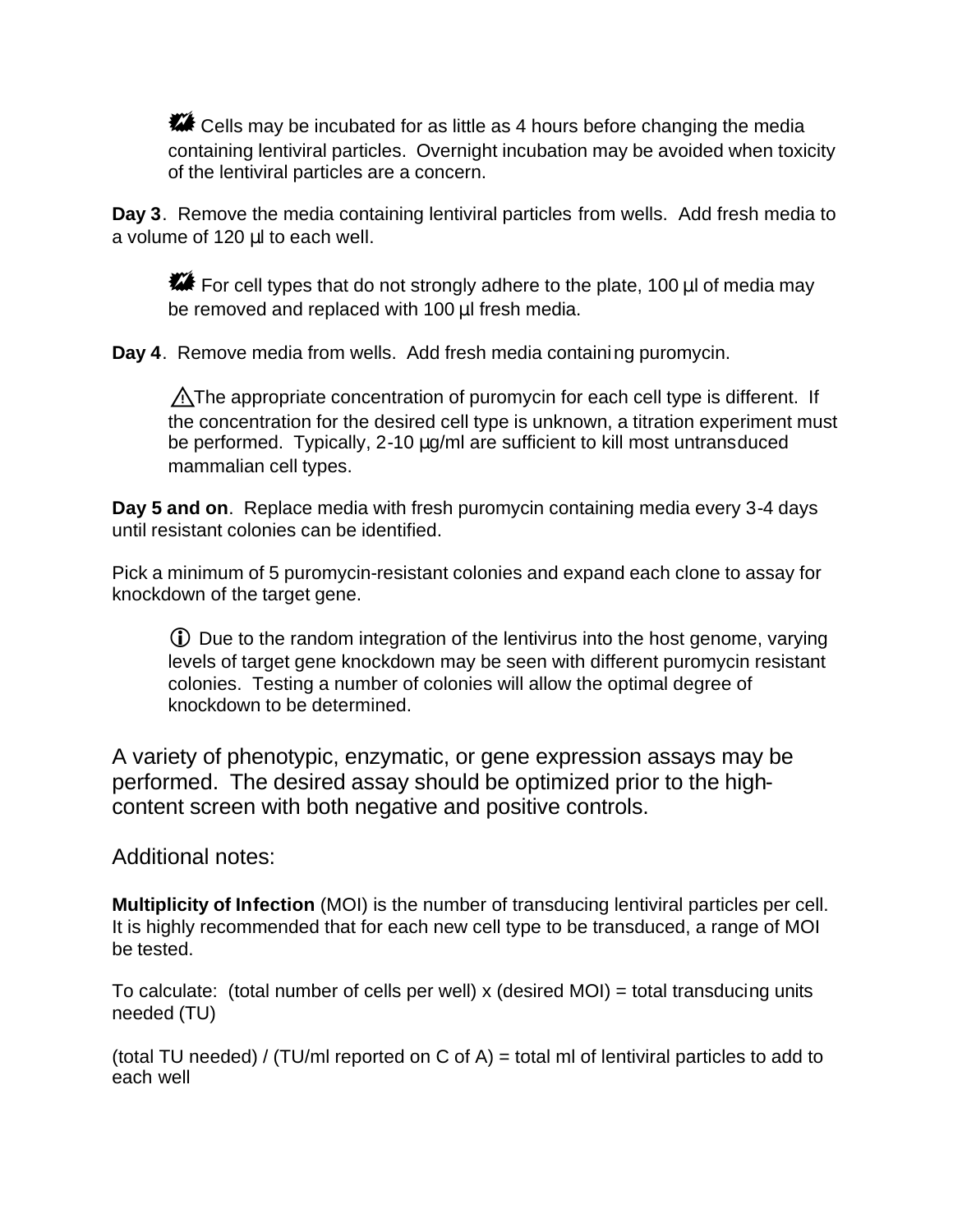**\*\*\*** Cells may be incubated for as little as 4 hours before changing the media containing lentiviral particles. Overnight incubation may be avoided when toxicity of the lentiviral particles are a concern.

**Day 3**. Remove the media containing lentiviral particles from wells. Add fresh media to a volume of 120 μl to each well.

For cell types that do not strongly adhere to the plate, 100  $\mu$ l of media may be removed and replaced with 100 μl fresh media.

**Day 4**. Remove media from wells. Add fresh media containing puromycin.

**A**The appropriate concentration of puromycin for each cell type is different. If the concentration for the desired cell type is unknown, a titration experiment must be performed. Typically, 2-10 μg/ml are sufficient to kill most untransduced mammalian cell types.

**Day 5 and on**. Replace media with fresh puromycin containing media every 3-4 days until resistant colonies can be identified.

Pick a minimum of 5 puromycin-resistant colonies and expand each clone to assay for knockdown of the target gene.

 $\odot$  Due to the random integration of the lentivirus into the host genome, varying levels of target gene knockdown may be seen with different puromycin resistant colonies. Testing a number of colonies will allow the optimal degree of knockdown to be determined.

A variety of phenotypic, enzymatic, or gene expression assays may be performed. The desired assay should be optimized prior to the highcontent screen with both negative and positive controls.

### Additional notes:

**Multiplicity of Infection** (MOI) is the number of transducing lentiviral particles per cell. It is highly recommended that for each new cell type to be transduced, a range of MOI be tested.

To calculate: (total number of cells per well)  $x$  (desired MOI) = total transducing units needed (TU)

(total TU needed) / (TU/ml reported on C of A) = total ml of lentiviral particles to add to each well